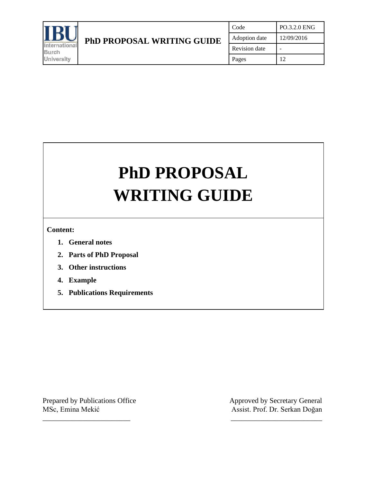

# **PhD PROPOSAL WRITING GUIDE**

\_\_\_\_\_\_\_\_\_\_\_\_\_\_\_\_\_\_\_\_\_\_\_\_ \_\_\_\_\_\_\_\_\_\_\_\_\_\_\_\_\_\_\_\_\_\_\_\_\_

**Content:**

- **1. General notes**
- **2. Parts of PhD Proposal**
- **3. Other instructions**
- **4. Example**
- **5. Publications Requirements**

MSc, Emina Mekić Assist. Prof. Dr. Serkan Doğan

Prepared by Publications Office Approved by Secretary General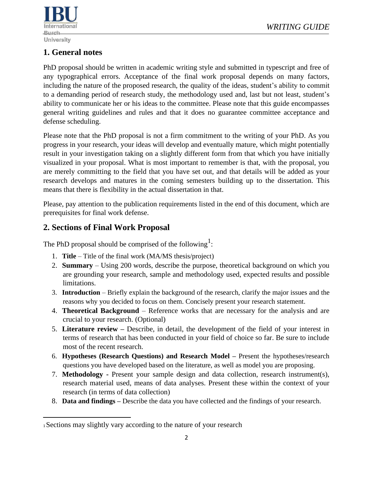

## **1. General notes**

PhD proposal should be written in academic writing style and submitted in typescript and free of any typographical errors. Acceptance of the final work proposal depends on many factors, including the nature of the proposed research, the quality of the ideas, student's ability to commit to a demanding period of research study, the methodology used and, last but not least, student's ability to communicate her or his ideas to the committee. Please note that this guide encompasses general writing guidelines and rules and that it does no guarantee committee acceptance and defense scheduling.

Please note that the PhD proposal is not a firm commitment to the writing of your PhD. As you progress in your research, your ideas will develop and eventually mature, which might potentially result in your investigation taking on a slightly different form from that which you have initially visualized in your proposal. What is most important to remember is that, with the proposal, you are merely committing to the field that you have set out, and that details will be added as your research develops and matures in the coming semesters building up to the dissertation. This means that there is flexibility in the actual dissertation in that.

Please, pay attention to the publication requirements listed in the end of this document, which are prerequisites for final work defense.

#### **2. Sections of Final Work Proposal**

The PhD proposal should be comprised of the following<sup>1</sup>:

- 1. **Title**  Title of the final work (MA/MS thesis/project)
- 2. **Summary**  Using 200 words, describe the purpose, theoretical background on which you are grounding your research, sample and methodology used, expected results and possible limitations.
- 3. **Introduction**  Briefly explain the background of the research, clarify the major issues and the reasons why you decided to focus on them. Concisely present your research statement.
- 4. **Theoretical Background**  Reference works that are necessary for the analysis and are crucial to your research. (Optional)
- 5. **Literature review –** Describe, in detail, the development of the field of your interest in terms of research that has been conducted in your field of choice so far. Be sure to include most of the recent research.
- 6. **Hypotheses (Research Questions) and Research Model –** Present the hypotheses/research questions you have developed based on the literature, as well as model you are proposing.
- 7. **Methodology -** Present your sample design and data collection, research instrument(s), research material used, means of data analyses. Present these within the context of your research (in terms of data collection)
- 8. **Data and findings –** Describe the data you have collected and the findings of your research.

<sup>1</sup>Sections may slightly vary according to the nature of your research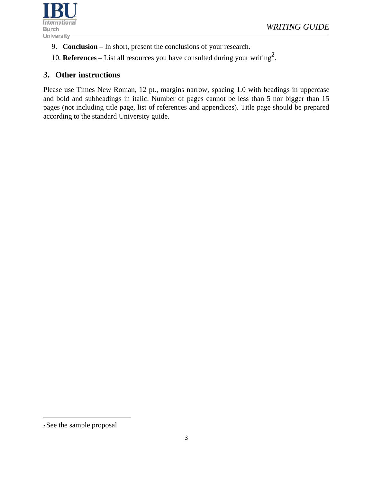

- 9. **Conclusion –** In short, present the conclusions of your research.
- 10. **References** List all resources you have consulted during your writing<sup>2</sup>.

#### **3. Other instructions**

Please use Times New Roman, 12 pt., margins narrow, spacing 1.0 with headings in uppercase and bold and subheadings in italic. Number of pages cannot be less than 5 nor bigger than 15 pages (not including title page, list of references and appendices). Title page should be prepared according to the standard University guide.

<sup>2</sup> See the sample proposal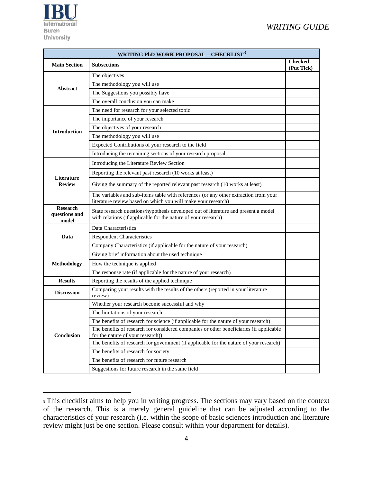

| <b>WRITING PhD WORK PROPOSAL - CHECKLIST<sup>3</sup></b> |                                                                                                                                                       |  |  |  |  |  |  |  |  |
|----------------------------------------------------------|-------------------------------------------------------------------------------------------------------------------------------------------------------|--|--|--|--|--|--|--|--|
| <b>Main Section</b>                                      | <b>Checked</b><br><b>Subsections</b><br>(Put Tick)                                                                                                    |  |  |  |  |  |  |  |  |
|                                                          | The objectives                                                                                                                                        |  |  |  |  |  |  |  |  |
| Abstract                                                 | The methodology you will use                                                                                                                          |  |  |  |  |  |  |  |  |
|                                                          | The Suggestions you possibly have                                                                                                                     |  |  |  |  |  |  |  |  |
|                                                          | The overall conclusion you can make                                                                                                                   |  |  |  |  |  |  |  |  |
|                                                          | The need for research for your selected topic                                                                                                         |  |  |  |  |  |  |  |  |
|                                                          | The importance of your research                                                                                                                       |  |  |  |  |  |  |  |  |
| <b>Introduction</b>                                      | The objectives of your research                                                                                                                       |  |  |  |  |  |  |  |  |
|                                                          | The methodology you will use                                                                                                                          |  |  |  |  |  |  |  |  |
|                                                          | Expected Contributions of your research to the field                                                                                                  |  |  |  |  |  |  |  |  |
|                                                          | Introducing the remaining sections of your research proposal                                                                                          |  |  |  |  |  |  |  |  |
|                                                          | Introducing the Literature Review Section                                                                                                             |  |  |  |  |  |  |  |  |
|                                                          | Reporting the relevant past research (10 works at least)                                                                                              |  |  |  |  |  |  |  |  |
| Literature<br><b>Review</b>                              | Giving the summary of the reported relevant past research (10 works at least)                                                                         |  |  |  |  |  |  |  |  |
|                                                          | The variables and sub-items table with references (or any other extraction from your<br>literature review based on which you will make your research) |  |  |  |  |  |  |  |  |
| <b>Research</b><br>questions and<br>model                | State research questions/hypothesis developed out of literature and present a model<br>with relations (if applicable for the nature of your research) |  |  |  |  |  |  |  |  |
|                                                          | Data Characteristics                                                                                                                                  |  |  |  |  |  |  |  |  |
| Data                                                     | <b>Respondent Characteristics</b>                                                                                                                     |  |  |  |  |  |  |  |  |
|                                                          | Company Characteristics (if applicable for the nature of your research)                                                                               |  |  |  |  |  |  |  |  |
|                                                          | Giving brief information about the used technique                                                                                                     |  |  |  |  |  |  |  |  |
| <b>Methodology</b>                                       | How the technique is applied                                                                                                                          |  |  |  |  |  |  |  |  |
|                                                          | The response rate (if applicable for the nature of your research)                                                                                     |  |  |  |  |  |  |  |  |
| <b>Results</b>                                           | Reporting the results of the applied technique                                                                                                        |  |  |  |  |  |  |  |  |
| <b>Discussion</b>                                        | Comparing your results with the results of the others (reported in your literature<br>review)                                                         |  |  |  |  |  |  |  |  |
|                                                          | Whether your research become successful and why                                                                                                       |  |  |  |  |  |  |  |  |
|                                                          | The limitations of your research                                                                                                                      |  |  |  |  |  |  |  |  |
|                                                          | The benefits of research for science (if applicable for the nature of your research)                                                                  |  |  |  |  |  |  |  |  |
| Conclusion                                               | The benefits of research for considered companies or other beneficiaries (if applicable<br>for the nature of your research))                          |  |  |  |  |  |  |  |  |
|                                                          | The benefits of research for government (if applicable for the nature of your research)                                                               |  |  |  |  |  |  |  |  |
|                                                          | The benefits of research for society                                                                                                                  |  |  |  |  |  |  |  |  |
|                                                          | The benefits of research for future research                                                                                                          |  |  |  |  |  |  |  |  |
|                                                          | Suggestions for future research in the same field                                                                                                     |  |  |  |  |  |  |  |  |

<sup>&</sup>lt;sup>3</sup> This checklist aims to help you in writing progress. The sections may vary based on the context of the research. This is a merely general guideline that can be adjusted according to the characteristics of your research (i.e. within the scope of basic sciences introduction and literature review might just be one section. Please consult within your department for details).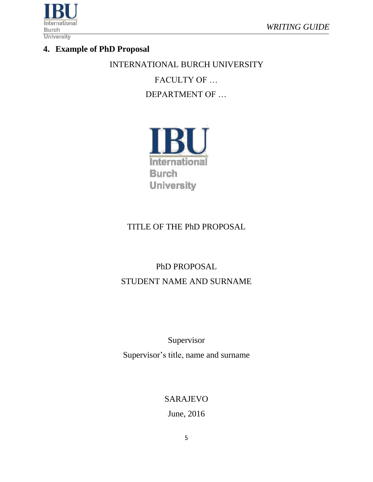

## **4. Example of PhD Proposal**

INTERNATIONAL BURCH UNIVERSITY

FACULTY OF …

DEPARTMENT OF …



# TITLE OF THE PhD PROPOSAL

# PhD PROPOSAL STUDENT NAME AND SURNAME

Supervisor Supervisor's title, name and surname

SARAJEVO

June, 2016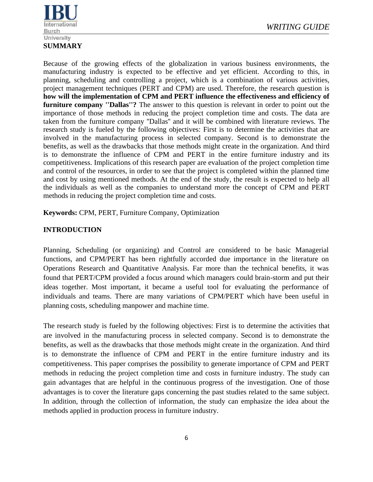

Because of the growing effects of the globalization in various business environments, the manufacturing industry is expected to be effective and yet efficient. According to this, in planning, scheduling and controlling a project, which is a combination of various activities, project management techniques (PERT and CPM) are used. Therefore, the research question is **how will the implementation of CPM and PERT influence the effectiveness and efficiency of furniture company ''Dallas''?** The answer to this question is relevant in order to point out the importance of those methods in reducing the project completion time and costs. The data are taken from the furniture company ''Dallas'' and it will be combined with literature reviews. The research study is fueled by the following objectives: First is to determine the activities that are involved in the manufacturing process in selected company. Second is to demonstrate the benefits, as well as the drawbacks that those methods might create in the organization. And third is to demonstrate the influence of CPM and PERT in the entire furniture industry and its competitiveness. Implications of this research paper are evaluation of the project completion time and control of the resources, in order to see that the project is completed within the planned time and cost by using mentioned methods. At the end of the study, the result is expected to help all the [individuals a](http://ivythesis.typepad.com/term_paper_topics/2008/05/collaboration-a.html)s well as the [companies t](http://ivythesis.typepad.com/term_paper_topics/human_resource_management_of_airline_companies/)o understand more the concept of CPM and PERT methods in reducing the project completion time and costs.

**Keywords:** CPM, PERT, Furniture Company, Optimization

#### **INTRODUCTION**

Planning, Scheduling (or organizing) and Control are considered to be basic Managerial functions, and CPM/PERT has been rightfully accorded due importance in the literature on Operations Research and Quantitative Analysis. Far more than the technical benefits, it was found that PERT/CPM provided a focus around which managers could brain-storm and put their ideas together. Most important, it became a useful tool for evaluating the performance of individuals and teams. There are many variations of CPM/PERT which have been useful in planning costs, scheduling manpower and machine time.

The research study is fueled by the following objectives: First is to determine the activities that are involved in the manufacturing process in selected company. Second is to demonstrate the benefits, as well as the drawbacks that those methods might create in the organization. And third is to demonstrate the influence of CPM and PERT in the entire furniture industry and its competitiveness. This paper comprises the possibility to generate importance of CPM and PERT methods in reducing the project completion time and costs in furniture industry. The study can gain advantages that are helpful in the continuous progress of the investigation. One of those advantages is to cover the literature gaps concerning the past studies related to the same subject. In addition, through the collection of information, the study can emphasize the idea about the methods applied in production process in furniture industry.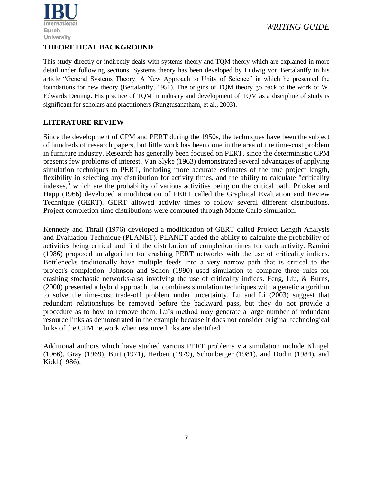

#### **THEORETICAL BACKGROUND**

This study directly or indirectly deals with systems theory and TQM theory which are explained in more detail under following sections. Systems theory has been developed by Ludwig von Bertalanffy in his article "General Systems Theory: A New Approach to Unity of Science" in which he presented the foundations for new theory (Bertalanffy, 1951). The origins of TQM theory go back to the work of W. Edwards Deming. His practice of TQM in industry and development of TQM as a discipline of study is significant for scholars and practitioners (Rungtusanatham, et al., 2003).

#### **LITERATURE REVIEW**

Since the development of CPM and PERT during the 1950s, the techniques have been the subject of hundreds of research papers, but little work has been done in the area of the time-cost problem in furniture industry. Research has generally been focused on PERT, since the deterministic CPM presents few problems of interest. Van Slyke (1963) demonstrated several advantages of applying simulation techniques to PERT, including more accurate estimates of the true project length, flexibility in selecting any distribution for activity times, and the ability to calculate "criticality indexes," which are the probability of various activities being on the critical path. Pritsker and Happ (1966) developed a modification of PERT called the Graphical Evaluation and Review Technique (GERT). GERT allowed activity times to follow several different distributions. Project completion time distributions were computed through Monte Carlo simulation.

Kennedy and Thrall (1976) developed a modification of GERT called Project Length Analysis and Evaluation Technique (PLANET). PLANET added the ability to calculate the probability of activities being critical and find the distribution of completion times for each activity. Ramini (1986) proposed an algorithm for crashing PERT networks with the use of criticality indices. Bottlenecks traditionally have multiple feeds into a very narrow path that is critical to the project's completion. Johnson and Schon (1990) used simulation to compare three rules for crashing stochastic networks-also involving the use of criticality indices. Feng, Liu, & Burns, (2000) presented a hybrid approach that combines simulation techniques with a genetic algorithm to solve the time-cost trade-off problem under uncertainty. Lu and Li (2003) suggest that redundant relationships be removed before the backward pass, but they do not provide a procedure as to how to remove them. Lu's method may generate a large number of redundant resource links as demonstrated in the example because it does not consider original technological links of the CPM network when resource links are identified.

Additional authors which have studied various PERT problems via simulation include Klingel (1966), Gray (1969), Burt (1971), Herbert (1979), Schonberger (1981), and Dodin (1984), and Kidd (1986).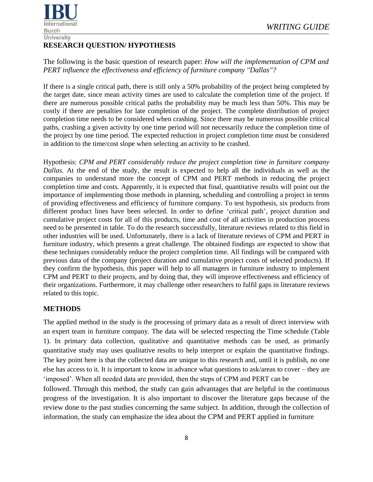

#### *WRITING GUIDE*

#### **RESEARCH QUESTION/ HYPOTHESIS**

The following is the basic question of research paper: *How will the implementation of CPM and PERT influence the effectiveness and efficiency of furniture company ''Dallas''?*

If there is a single critical path, there is still only a 50% probability of the project being completed by the target date, since mean activity times are used to calculate the completion time of the project. If there are numerous possible critical paths the probability may be much less than 50%. This may be costly if there are penalties for late completion of the project. The complete distribution of project completion time needs to be considered when crashing. Since there may be numerous possible critical paths, crashing a given activity by one time period will not necessarily reduce the completion time of the project by one time period. The expected reduction in project completion time must be considered in addition to the time/cost slope when selecting an activity to be crashed.

Hypothesis: *CPM and PERT considerably reduce the project completion time in furniture company Dallas.* At the end of the study, the result is expected to help all the [individuals a](http://ivythesis.typepad.com/term_paper_topics/2008/05/collaboration-a.html)s well as the [companies t](http://ivythesis.typepad.com/term_paper_topics/human_resource_management_of_airline_companies/)o understand more the concept of CPM and PERT methods in reducing the project completion time and costs. Apparently, it is expected that final, quantitative results will point out the importance of implementing those methods in planning, scheduling and controlling a project in terms of providing effectiveness and efficiency of furniture company. To test hypothesis, six products from different product lines have been selected. In order to define 'critical path', project duration and cumulative project costs for all of this products, time and cost of all activities in production process need to be presented in table. To do the research successfully, literature reviews related to this field in other industries will be used. Unfortunately, there is a lack of literature reviews of CPM and PERT in furniture industry, which presents a great challenge. The obtained findings are expected to show that these techniques considerably reduce the project completion time. All findings will be compared with previous data of the company (project duration and cumulative project costs of selected products). If they confirm the hypothesis, this paper will help to all managers in furniture industry to implement CPM and PERT to their projects, and by doing that, they will improve effectiveness and efficiency of their organizations. Furthermore, it may challenge other researchers to fulfil gaps in literature reviews related to this topic.

#### **METHODS**

The applied method in the study is the processing of primary data as a result of direct interview with an expert team in furniture company. The data will be selected respecting the Time schedule (Table 1). In primary data collection, qualitative and quantitative methods can be used, as primarily quantitative study may uses qualitative results to help interpret or explain the quantitative findings. The key point here is that the collected data are unique to this research and, until it is publish, no one else has access to it. It is important to know in advance what questions to ask/areas to cover – they are 'imposed'. When all needed data are provided, then the steps of CPM and PERT can be

followed. Through this method, the study can gain advantages that are helpful in the continuous progress of the investigation. It is also important to discover the literature gaps because of the review done to the past studies concerning the same subject. In addition, through the collection of information, the study can emphasize the idea about the CPM and PERT applied in furniture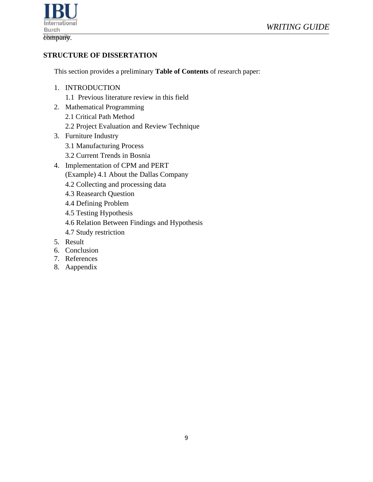

#### **STRUCTURE OF DISSERTATION**

This section provides a preliminary **Table of Contents** of research paper:

- 1. INTRODUCTION
	- 1.1 Previous literature review in this field
- 2. Mathematical Programming 2.1 Critical Path Method 2.2 Project Evaluation and Review Technique
- 3. Furniture Industry
	- 3.1 Manufacturing Process
	- 3.2 Current Trends in Bosnia
- 4. Implementation of CPM and PERT (Example) 4.1 About the Dallas Company
	- 4.2 Collecting and processing data
	- 4.3 Reasearch Question
	- 4.4 Defining Problem
	- 4.5 Testing Hypothesis
	- 4.6 Relation Between Findings and Hypothesis
	- 4.7 Study restriction
- 5. Result
- 6. Conclusion
- 7. References
- 8. Aappendix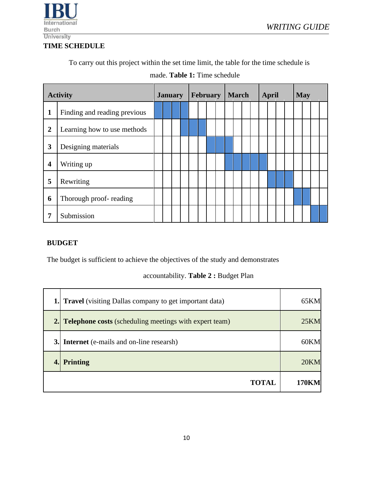

#### **TIME SCHEDULE**

To carry out this project within the set time limit, the table for the time schedule is

| <b>Activity</b>  |                              | <b>January</b> |  | <b>February</b> |  |  | <b>March</b> |  |  | <b>April</b> |  |  | <b>May</b> |  |  |  |  |  |  |  |
|------------------|------------------------------|----------------|--|-----------------|--|--|--------------|--|--|--------------|--|--|------------|--|--|--|--|--|--|--|
| 1                | Finding and reading previous |                |  |                 |  |  |              |  |  |              |  |  |            |  |  |  |  |  |  |  |
| $\boldsymbol{2}$ | Learning how to use methods  |                |  |                 |  |  |              |  |  |              |  |  |            |  |  |  |  |  |  |  |
| 3                | Designing materials          |                |  |                 |  |  |              |  |  |              |  |  |            |  |  |  |  |  |  |  |
| $\boldsymbol{4}$ | Writing up                   |                |  |                 |  |  |              |  |  |              |  |  |            |  |  |  |  |  |  |  |
| 5                | Rewriting                    |                |  |                 |  |  |              |  |  |              |  |  |            |  |  |  |  |  |  |  |
| 6                | Thorough proof-reading       |                |  |                 |  |  |              |  |  |              |  |  |            |  |  |  |  |  |  |  |
| 7                | Submission                   |                |  |                 |  |  |              |  |  |              |  |  |            |  |  |  |  |  |  |  |

made. **Table 1:** Time schedule

#### **BUDGET**

The budget is sufficient to achieve the objectives of the study and demonstrates

#### accountability. **Table 2 :** Budget Plan

| <b>1.</b> Travel (visiting Dallas company to get important data) | 65KM  |
|------------------------------------------------------------------|-------|
| <b>2.</b> Telephone costs (scheduling meetings with expert team) | 25KM  |
| <b>3.</b> Internet (e-mails and on-line researsh)                | 60KM  |
| <b>Printing</b>                                                  | 20KM  |
| <b>TOTAL</b>                                                     | 170KM |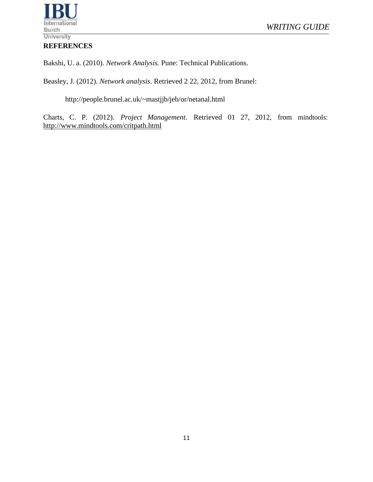#### **REFERENCES**

Bakshi, U. a. (2010). *Network Analysis.* Pune: Technical Publications.

Beasley, J. (2012). *Network analysis*. Retrieved 2 22, 2012, from Brunel:

http://people.brunel.ac.uk/~mastjjb/jeb/or/netanal.html

Charts, C. P. (2012). *Project Management*. Retrieved 01 27, 2012, from mindtools: <http://www.mindtools.com/critpath.html>